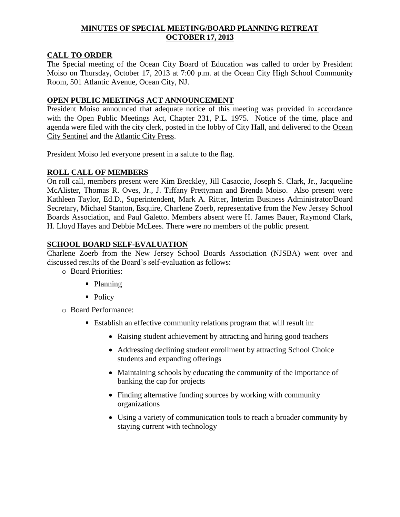## **MINUTES OF SPECIAL MEETING/BOARD PLANNING RETREAT OCTOBER 17, 2013**

### **CALL TO ORDER**

The Special meeting of the Ocean City Board of Education was called to order by President Moiso on Thursday, October 17, 2013 at 7:00 p.m. at the Ocean City High School Community Room, 501 Atlantic Avenue, Ocean City, NJ.

### **OPEN PUBLIC MEETINGS ACT ANNOUNCEMENT**

President Moiso announced that adequate notice of this meeting was provided in accordance with the Open Public Meetings Act, Chapter 231, P.L. 1975. Notice of the time, place and agenda were filed with the city clerk, posted in the lobby of City Hall, and delivered to the Ocean City Sentinel and the Atlantic City Press.

President Moiso led everyone present in a salute to the flag.

## **ROLL CALL OF MEMBERS**

On roll call, members present were Kim Breckley, Jill Casaccio, Joseph S. Clark, Jr., Jacqueline McAlister, Thomas R. Oves, Jr., J. Tiffany Prettyman and Brenda Moiso. Also present were Kathleen Taylor, Ed.D., Superintendent, Mark A. Ritter, Interim Business Administrator/Board Secretary, Michael Stanton, Esquire, Charlene Zoerb, representative from the New Jersey School Boards Association, and Paul Galetto. Members absent were H. James Bauer, Raymond Clark, H. Lloyd Hayes and Debbie McLees. There were no members of the public present.

# **SCHOOL BOARD SELF-EVALUATION**

Charlene Zoerb from the New Jersey School Boards Association (NJSBA) went over and discussed results of the Board's self-evaluation as follows:

- o Board Priorities:
	- Planning
	- Policy

o Board Performance:

- Establish an effective community relations program that will result in:
	- Raising student achievement by attracting and hiring good teachers
	- Addressing declining student enrollment by attracting School Choice students and expanding offerings
	- Maintaining schools by educating the community of the importance of banking the cap for projects
	- Finding alternative funding sources by working with community organizations
	- Using a variety of communication tools to reach a broader community by staying current with technology